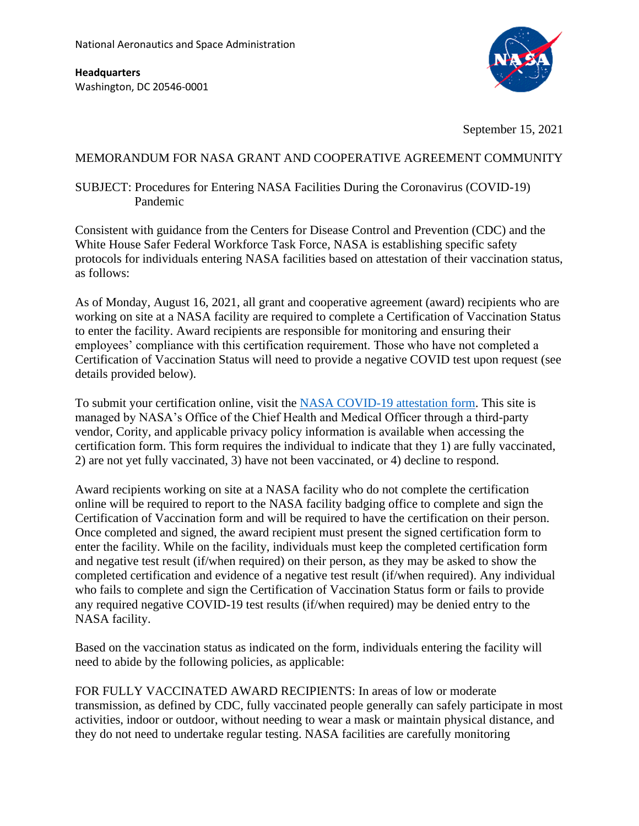**Headquarters** Washington, DC 20546-0001



September 15, 2021

## MEMORANDUM FOR NASA GRANT AND COOPERATIVE AGREEMENT COMMUNITY

## SUBJECT: Procedures for Entering NASA Facilities During the Coronavirus (COVID-19) Pandemic

Consistent with guidance from the Centers for Disease Control and Prevention (CDC) and the White House Safer Federal Workforce Task Force, NASA is establishing specific safety protocols for individuals entering NASA facilities based on attestation of their vaccination status, as follows:

As of Monday, August 16, 2021, all grant and cooperative agreement (award) recipients who are working on site at a NASA facility are required to complete a Certification of Vaccination Status to enter the facility. Award recipients are responsible for monitoring and ensuring their employees' compliance with this certification requirement. Those who have not completed a Certification of Vaccination Status will need to provide a negative COVID test upon request (see details provided below).

To submit your certification online, visit the [NASA COVID-19 attestation form.](https://nasa.aspcl5.medgate.com/gx2test/medicalpublicqrh/login.rails?qcode=ATTEST) This site is managed by NASA's Office of the Chief Health and Medical Officer through a third-party vendor, Cority, and applicable privacy policy information is available when accessing the certification form. This form requires the individual to indicate that they 1) are fully vaccinated, 2) are not yet fully vaccinated, 3) have not been vaccinated, or 4) decline to respond.

Award recipients working on site at a NASA facility who do not complete the certification online will be required to report to the NASA facility badging office to complete and sign the Certification of Vaccination form and will be required to have the certification on their person. Once completed and signed, the award recipient must present the signed certification form to enter the facility. While on the facility, individuals must keep the completed certification form and negative test result (if/when required) on their person, as they may be asked to show the completed certification and evidence of a negative test result (if/when required). Any individual who fails to complete and sign the Certification of Vaccination Status form or fails to provide any required negative COVID-19 test results (if/when required) may be denied entry to the NASA facility.

Based on the vaccination status as indicated on the form, individuals entering the facility will need to abide by the following policies, as applicable:

FOR FULLY VACCINATED AWARD RECIPIENTS: In areas of low or moderate transmission, as defined by CDC, fully vaccinated people generally can safely participate in most activities, indoor or outdoor, without needing to wear a mask or maintain physical distance, and they do not need to undertake regular testing. NASA facilities are carefully monitoring